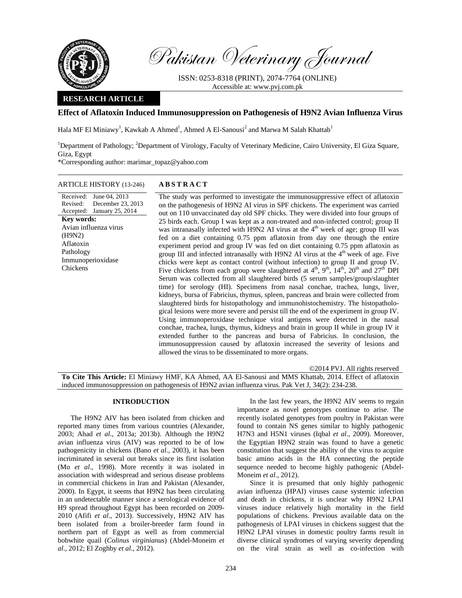

Pakistan Veterinary Journal

ISSN: 0253-8318 (PRINT), 2074-7764 (ONLINE) Accessible at: www.pvj.com.pk

# **RESEARCH ARTICLE**

# **Effect of Aflatoxin Induced Immunosuppression on Pathogenesis of H9N2 Avian Influenza Virus**

Hala MF El Miniawy<sup>1</sup>, Kawkab A Ahmed<sup>1</sup>, Ahmed A El-Sanousi<sup>2</sup> and Marwa M Salah Khattab<sup>1</sup>

<sup>1</sup>Department of Pathology; <sup>2</sup>Department of Virology, Faculty of Veterinary Medicine, Cairo University, El Giza Square, Giza, Egypt

\*Corresponding author: marimar\_topaz@yahoo.com

# ARTICLE HISTORY (13-246) **ABSTRACT**

Received: June 04, 2013 Revised: Accepted: January 25, 2014 December 23, 2013 **Key words:**  Avian influenza virus (H9N2) Aflatoxin Pathology Immunoperioxidase Chickens

 The study was performed to investigate the immunosuppressive effect of aflatoxin on the pathogenesis of H9N2 AI virus in SPF chickens. The experiment was carried out on 110 unvaccinated day old SPF chicks. They were divided into four groups of 25 birds each. Group I was kept as a non-treated and non-infected control; group II was intranasally infected with H9N2 AI virus at the  $4<sup>th</sup>$  week of age; group III was fed on a diet containing 0.75 ppm aflatoxin from day one through the entire experiment period and group IV was fed on diet containing 0.75 ppm aflatoxin as group III and infected intranasally with H9N2 AI virus at the  $4<sup>th</sup>$  week of age. Five chicks were kept as contact control (without infection) to group II and group IV. Five chickens from each group were slaughtered at  $4<sup>th</sup>$ ,  $9<sup>th</sup>$ ,  $14<sup>th</sup>$ ,  $20<sup>th</sup>$  and  $27<sup>th</sup>$  DPI Serum was collected from all slaughtered birds (5 serum samples/group/slaughter time) for serology (HI). Specimens from nasal conchae, trachea, lungs, liver, kidneys, bursa of Fabricius, thymus, spleen, pancreas and brain were collected from slaughtered birds for histopathology and immunohistochemistry. The histopathological lesions were more severe and persist till the end of the experiment in group IV. Using immunoperoxidase technique viral antigens were detected in the nasal conchae, trachea, lungs, thymus, kidneys and brain in group II while in group IV it extended further to the pancreas and bursa of Fabricius. In conclusion, the immunosuppression caused by aflatoxin increased the severity of lesions and allowed the virus to be disseminated to more organs.

©2014 PVJ. All rights reserved **To Cite This Article:** El Miniawy HMF, KA Ahmed, AA El-Sanousi and MMS Khattab, 2014. Effect of aflatoxin induced immunosuppression on pathogenesis of H9N2 avian influenza virus. Pak Vet J, 34(2): 234-238.

### **INTRODUCTION**

The H9N2 AIV has been isolated from chicken and reported many times from various countries (Alexander, 2003; Ahad *et al*., 2013a; 2013b). Although the H9N2 avian influenza virus (AIV) was reported to be of low pathogenicity in chickens (Bano *et al*., 2003), it has been incriminated in several out breaks since its first isolation (Mo *et al*., 1998). More recently it was isolated in association with widespread and serious disease problems in commercial chickens in Iran and Pakistan (Alexander, 2000). In Egypt, it seems that H9N2 has been circulating in an undetectable manner since a serological evidence of H9 spread throughout Egypt has been recorded on 2009- 2010 (Afifi *et al*., 2013). Successively, H9N2 AIV has been isolated from a broiler-breeder farm found in northern part of Egypt as well as from commercial bobwhite quail (*Colinus virginianus*) (Abdel-Moneim *et al*., 2012; El Zoghby *et al*., 2012).

In the last few years, the H9N2 AIV seems to regain importance as novel genotypes continue to arise. The recently isolated genotypes from poultry in Pakistan were found to contain NS genes similar to highly pathogenic H7N3 and H5N1 viruses (Iqbal *et al*., 2009). Moreover, the Egyptian H9N2 strain was found to have a genetic constitution that suggest the ability of the virus to acquire basic amino acids in the HA connecting the peptide sequence needed to become highly pathogenic (Abdel-Moneim *et al*., 2012).

Since it is presumed that only highly pathogenic avian influenza (HPAI) viruses cause systemic infection and death in chickens, it is unclear why H9N2 LPAI viruses induce relatively high mortality in the field populations of chickens. Previous available data on the pathogenesis of LPAI viruses in chickens suggest that the H9N2 LPAI viruses in domestic poultry farms result in diverse clinical syndromes of varying severity depending on the viral strain as well as co-infection with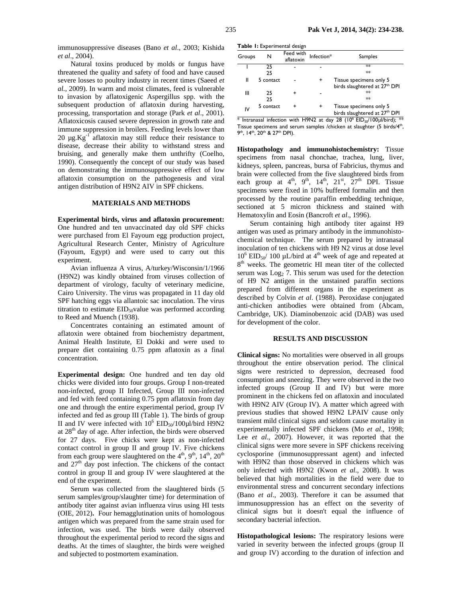immunosuppressive diseases (Bano *et al*., 2003; Kishida *et al*., 2004).

Natural toxins produced by molds or fungus have threatened the quality and safety of food and have caused severe losses to poultry industry in recent times (Saeed *et al.,* 2009). In warm and moist climates, feed is vulnerable to invasion by aflatoxigenic Aspergillus spp. with the subsequent production of aflatoxin during harvesting, processing, transportation and storage (Park *et al*., 2001). Aflatoxicosis caused severe depression in growth rate and immune suppression in broilers. Feeding levels lower than 20  $\mu$ g.Kg<sup>-1</sup> aflatoxin may still reduce their resistance to disease, decrease their ability to withstand stress and bruising, and generally make them unthrifty (Coelho, 1990). Consequently the concept of our study was based on demonstrating the immunosuppressive effect of low aflatoxin consumption on the pathogenesis and viral antigen distribution of H9N2 AIV in SPF chickens.

### **MATERIALS AND METHODS**

**Experimental birds, virus and aflatoxin procurement:** One hundred and ten unvaccinated day old SPF chicks were purchased from El Fayoum egg production project, Agricultural Research Center, Ministry of Agriculture (Fayoum, Egypt) and were used to carry out this experiment.

Avian influenza A virus, A/turkey/Wisconsin/1/1966 (H9N2) was kindly obtained from viruses collection of department of virology, faculty of veterinary medicine, Cairo University. The virus was propagated in 11 day old SPF hatching eggs via allantoic sac inoculation. The virus titration to estimate  $EID_{50}$ value was performed according to Reed and Muench (1938).

Concentrates containing an estimated amount of aflatoxin were obtained from biochemistry department, Animal Health Institute, El Dokki and were used to prepare diet containing 0.75 ppm aflatoxin as a final concentration.

**Experimental design:** One hundred and ten day old chicks were divided into four groups. Group I non-treated non-infected, group II Infected, Group III non-infected and fed with feed containing 0.75 ppm aflatoxin from day one and through the entire experimental period, group IV infected and fed as group III (Table 1). The birds of group II and IV were infected with  $10^6$  EID<sub>50</sub>/100 $\mu$ l/bird H9N2 at  $28<sup>th</sup>$  day of age. After infection, the birds were observed for 27 days. Five chicks were kept as non-infected contact control in group II and group IV. Five chickens from each group were slaughtered on the  $4<sup>th</sup>$ ,  $9<sup>th</sup>$ ,  $14<sup>th</sup>$ ,  $20<sup>th</sup>$ and  $27<sup>th</sup>$  day post infection. The chickens of the contact control in group II and group IV were slaughtered at the end of the experiment.

Serum was collected from the slaughtered birds (5 serum samples/group/slaughter time) for determination of antibody titer against avian influenza virus using HI tests (OIE, 2012)**.** Four hemagglutination units of homologous antigen which was prepared from the same strain used for infection, was used. The birds were daily observed throughout the experimental period to record the signs and deaths. At the times of slaughter, the birds were weighed and subjected to postmortem examination.

| Table I: Experimental design |  |
|------------------------------|--|
|------------------------------|--|

| Groups | N         | Feed with<br>aflatoxin | Infection* | Samples                                                              |
|--------|-----------|------------------------|------------|----------------------------------------------------------------------|
|        | 25        |                        |            | $**$                                                                 |
|        | 25        |                        |            | $**$                                                                 |
| Ш      | 5 contact |                        | $\ddot{}$  | Tissue specimens only 5<br>birds slaughtered at 27 <sup>th</sup> DPI |
| Ш      | 25<br>25  |                        |            | $*$<br>$**$                                                          |
| IV     | 5 contact |                        |            | Tissue specimens only 5<br>birds slaughtered at 27 <sup>th</sup> DPI |

 $*$  Intranasal infection with H9N2 at day 28 (10<sup>6</sup> EID<sub>50</sub>/100µl/bird); \*\* Tissue specimens and serum samples / chicken at slaughter (5 birds/4<sup>th</sup>, 9<sup>th</sup>, 14<sup>th</sup>, 20<sup>th</sup> & 27<sup>th</sup> DPI).

**Histopathology and immunohistochemistry:** Tissue specimens from nasal chonchae, trachea, lung, liver, kidneys, spleen, pancreas, bursa of Fabricius, thymus and brain were collected from the five slaughtered birds from each group at  $4^{\text{th}}$ ,  $9^{\text{th}}$ ,  $14^{\text{th}}$ ,  $21^{\text{st}}$ ,  $27^{\text{th}}$  DPI. Tissue specimens were fixed in 10% buffered formalin and then processed by the routine paraffin embedding technique, sectioned at 5 micron thickness and stained with Hematoxylin and Eosin (Bancroft *et al*., 1996).

Serum containing high antibody titer against H9 antigen was used as primary antibody in the immunohistochemical technique. The serum prepared by intranasal inoculation of ten chickens with H9 N2 virus at dose level  $10^6$  EID<sub>50</sub>/ 100 µL/bird at 4<sup>th</sup> week of age and repeated at 8<sup>th</sup> weeks. The geometric HI mean titer of the collected serum was  $\text{Log}_2$  7. This serum was used for the detection of H9 N2 antigen in the unstained paraffin sections prepared from different organs in the experiment as described by Colvin *et al*. (1988). Peroxidase conjugated anti-chicken antibodies were obtained from (Abcam, Cambridge, UK). Diaminobenzoic acid (DAB) was used for development of the color.

#### **RESULTS AND DISCUSSION**

**Clinical signs:** No mortalities were observed in all groups throughout the entire observation period. The clinical signs were restricted to depression, decreased food consumption and sneezing. They were observed in the two infected groups (Group II and IV) but were more prominent in the chickens fed on aflatoxin and inoculated with H9N2 AIV (Group IV). A matter which agreed with previous studies that showed H9N2 LPAIV cause only transient mild clinical signs and seldom cause mortality in experimentally infected SPF chickens (Mo *et al*., 1998; Lee *et al*., 2007). However, it was reported that the clinical signs were more severe in SPF chickens receiving cyclosporine (immunosuppressant agent) and infected with H9N2 than those observed in chickens which was only infected with H9N2 (Kwon *et al*., 2008). It was believed that high mortalities in the field were due to environmental stress and concurrent secondary infections (Bano *et al*., 2003). Therefore it can be assumed that immunosuppression has an effect on the severity of clinical signs but it doesn't equal the influence of secondary bacterial infection.

**Histopathological lesions:** The respiratory lesions were varied in severity between the infected groups (group II and group IV) according to the duration of infection and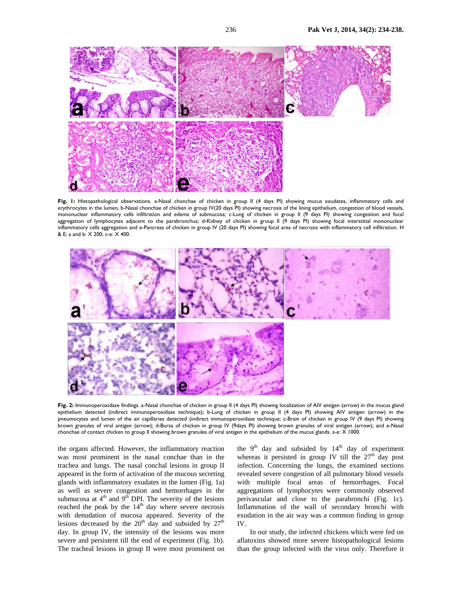

**Fig. 1:** Histopathological observations. a-Nasal chonchae of chicken in group II (4 days PI) showing mucus exudates, inflammatory cells and erythrocytes in the lumen, b-Nasal chonchae of chicken in group IV(20 days PI) showing necrosis of the lining epithelium, congestion of blood vessels, mononuclear inflammatory cells infiltration and edema of submucosa; c-Lung of chicken in group II (9 days PI) showing congestion and focal aggregation of lymphocytes adjacent to the parabronchus; d-Kidney of chicken in group II (9 days PI) showing focal interstitial mononuclear inflammatory cells aggregation and e-Pancreas of chicken in group IV (20 days PI) showing focal area of necrosis with inflammatory cell infiltration. H & E; a and b: X 200; c-e: X 400.



**Fig. 2:** Immunoperoxidase findings. a-Nasal chonchae of chicken in group II (4 days PI) showing localization of AIV antigen (arrow) in the mucus gland epithelium detected (indirect immunoperoxidase technique); b-Lung of chicken in group II (4 days PI) showing AIV antigen (arrow) in the pneumocytes and lumen of the air capillaries detected (indirect immunoperoxidase technique; c-Brain of chicken in group IV (9 days PI) showing brown granules of viral antigen (arrow); d-Bursa of chicken in group IV (9days PI) showing brown granules of viral antigen (arrow); and e-Nasal chonchae of contact chicken to group II showing brown granules of viral antigen in the epithelium of the mucus glands. a-e: X 1000.

the organs affected. However, the inflammatory reaction was most prominent in the nasal conchae than in the trachea and lungs. The nasal conchal lesions in group II appeared in the form of activation of the mucous secreting glands with inflammatory exudates in the lumen (Fig. 1a) as well as severe congestion and hemorrhages in the submucosa at  $4<sup>th</sup>$  and  $9<sup>th</sup>$  DPI. The severity of the lesions reached the peak by the 14<sup>th</sup> day where severe necrosis with denudation of mucosa appeared. Severity of the lesions decreased by the  $20<sup>th</sup>$  day and subsided by  $27<sup>th</sup>$ day. In group IV, the intensity of the lesions was more severe and persistent till the end of experiment (Fig. 1b). The tracheal lesions in group II were most prominent on

the  $9<sup>th</sup>$  day and subsided by  $14<sup>th</sup>$  day of experiment whereas it persisted in group IV till the  $27<sup>th</sup>$  day post infection. Concerning the lungs, the examined sections revealed severe congestion of all pulmonary blood vessels with multiple focal areas of hemorrhages. Focal aggregations of lymphocytes were commonly observed perivascular and close to the parabronchi (Fig. 1c). Inflammation of the wall of secondary bronchi with exudation in the air way was a common finding in group IV.

In our study, the infected chickens which were fed on aflatoxins showed more severe histopathological lesions than the group infected with the virus only. Therefore it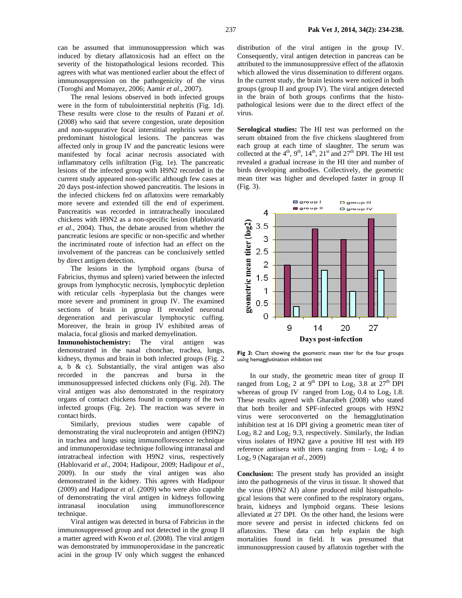can be assumed that immunosuppression which was induced by dietary aflatoxicosis had an effect on the severity of the histopathological lesions recorded. This agrees with what was mentioned earlier about the effect of immunosuppression on the pathogenicity of the virus (Toroghi and Momayez, 2006; Aamir *et al*., 2007).

The renal lesions observed in both infected groups were in the form of tubulointerstitial nephritis (Fig. 1d). These results were close to the results of Pazani *et al*. (2008) who said that severe congestion, urate deposition and non-suppurative focal interstitial nephritis were the predominant histological lesions. The pancreas was affected only in group IV and the pancreatic lesions were manifested by focal acinar necrosis associated with inflammatory cells infiltration (Fig. 1e). The pancreatic lesions of the infected group with H9N2 recorded in the current study appeared non-specific although few cases at 20 days post-infection showed pancreatitis. The lesions in the infected chickens fed on aflatoxins were remarkably more severe and extended till the end of experiment. Pancreatitis was recorded in intratracheally inoculated chickens with H9N2 as a non-specific lesion (Hablovarid *et al*., 2004). Thus, the debate aroused from whether the pancreatic lesions are specific or non-specific and whether the incriminated route of infection had an effect on the involvement of the pancreas can be conclusively settled by direct antigen detection.

The lesions in the lymphoid organs (bursa of Fabricius, thymus and spleen) varied between the infected groups from lymphocytic necrosis, lymphocytic depletion with reticular cells -hyperplasia but the changes were more severe and prominent in group IV. The examined sections of brain in group II revealed neuronal degeneration and perivascular lymphocytic cuffing. Moreover, the brain in group IV exhibited areas of malacia, focal gliosis and marked demyelination.

**Immunohistochemistry:** The viral antigen was demonstrated in the nasal chonchae, trachea, lungs, kidneys, thymus and brain in both infected groups (Fig. 2 a, b & c). Substantially, the viral antigen was also recorded in the pancreas and bursa in the immunosuppressed infected chickens only (Fig. 2d). The viral antigen was also demonstrated in the respiratory organs of contact chickens found in company of the two infected groups (Fig. 2e). The reaction was severe in contact birds.

Similarly, previous studies were capable of demonstrating the viral nucleoprotein and antigen (H9N2) in trachea and lungs using immunoflorescence technique and immunoperoxidase technique following intranasal and intratracheal infection with H9N2 virus, respectively (Hablovarid *et al*., 2004; Hadipour, 2009; Hadipour *et al*., 2009). In our study the viral antigen was also demonstrated in the kidney. This agrees with Hadipour (2009) and Hadipour *et al*. (2009) who were also capable of demonstrating the viral antigen in kidneys following intranasal inoculation using immunoflorescence technique.

Viral antigen was detected in bursa of Fabricius in the immunosuppressed group and not detected in the group II a matter agreed with Kwon *et al*. (2008). The viral antigen was demonstrated by immunoperoxidase in the pancreatic acini in the group IV only which suggest the enhanced

distribution of the viral antigen in the group IV. Consequently, viral antigen detection in pancreas can be attributed to the immunosuppressive effect of the aflatoxin which allowed the virus dissemination to different organs. In the current study, the brain lesions were noticed in both groups (group II and group IV). The viral antigen detected in the brain of both groups confirms that the histopathological lesions were due to the direct effect of the virus.

**Serological studies:** The HI test was performed on the serum obtained from the five chickens slaughtered from each group at each time of slaughter. The serum was collected at the  $4<sup>th</sup>$ ,  $9<sup>th</sup>$ ,  $14<sup>th</sup>$ ,  $21<sup>st</sup>$  and  $27<sup>th</sup>$  DPI. The HI test revealed a gradual increase in the HI titer and number of birds developing antibodies. Collectively, the geometric mean titer was higher and developed faster in group II (Fig. 3).



**Fig 3:** Chart showing the geometric mean titer for the four groups using hemagglutination inhibition test

In our study, the geometric mean titer of group II ranged from Log<sub>2</sub> 2 at 9<sup>th</sup> DPI to Log<sub>2</sub> 3.8 at  $27<sup>th</sup>$  DPI whereas of group IV ranged from  $Log_2$  0.4 to  $Log_2$  1.8. These results agreed with Gharaibeh (2008) who stated that both broiler and SPF-infected groups with H9N2 virus were seroconverted on the hemagglutination inhibition test at 16 DPI giving a geometric mean titer of  $Log<sub>2</sub> 8.2$  and  $Log<sub>2</sub> 9.3$ , respectively. Similarly, the Indian virus isolates of H9N2 gave a positive HI test with H9 reference antisera with titers ranging from  $-$  Log<sub>2</sub> 4 to Log2 9 (Nagarajan *et al*., 2009)

**Conclusion:** The present study has provided an insight into the pathogenesis of the virus in tissue. It showed that the virus (H9N2 AI) alone produced mild histopathological lesions that were confined to the respiratory organs, brain, kidneys and lymphoid organs. These lesions alleviated at 27 DPI. On the other hand, the lesions were more severe and persist in infected chickens fed on aflatoxins. These data can help explain the high mortalities found in field. It was presumed that immunosuppression caused by aflatoxin together with the